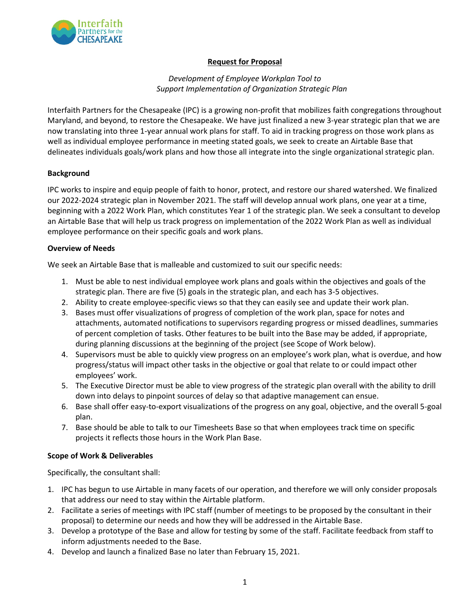

# **Request for Proposal**

## *Development of Employee Workplan Tool to Support Implementation of Organization Strategic Plan*

Interfaith Partners for the Chesapeake (IPC) is a growing non-profit that mobilizes faith congregations throughout Maryland, and beyond, to restore the Chesapeake. We have just finalized a new 3-year strategic plan that we are now translating into three 1-year annual work plans for staff. To aid in tracking progress on those work plans as well as individual employee performance in meeting stated goals, we seek to create an Airtable Base that delineates individuals goals/work plans and how those all integrate into the single organizational strategic plan.

## **Background**

IPC works to inspire and equip people of faith to honor, protect, and restore our shared watershed. We finalized our 2022-2024 strategic plan in November 2021. The staff will develop annual work plans, one year at a time, beginning with a 2022 Work Plan, which constitutes Year 1 of the strategic plan. We seek a consultant to develop an Airtable Base that will help us track progress on implementation of the 2022 Work Plan as well as individual employee performance on their specific goals and work plans.

### **Overview of Needs**

We seek an Airtable Base that is malleable and customized to suit our specific needs:

- 1. Must be able to nest individual employee work plans and goals within the objectives and goals of the strategic plan. There are five (5) goals in the strategic plan, and each has 3-5 objectives.
- 2. Ability to create employee-specific views so that they can easily see and update their work plan.
- 3. Bases must offer visualizations of progress of completion of the work plan, space for notes and attachments, automated notifications to supervisors regarding progress or missed deadlines, summaries of percent completion of tasks. Other features to be built into the Base may be added, if appropriate, during planning discussions at the beginning of the project (see Scope of Work below).
- 4. Supervisors must be able to quickly view progress on an employee's work plan, what is overdue, and how progress/status will impact other tasks in the objective or goal that relate to or could impact other employees' work.
- 5. The Executive Director must be able to view progress of the strategic plan overall with the ability to drill down into delays to pinpoint sources of delay so that adaptive management can ensue.
- 6. Base shall offer easy-to-export visualizations of the progress on any goal, objective, and the overall 5-goal plan.
- 7. Base should be able to talk to our Timesheets Base so that when employees track time on specific projects it reflects those hours in the Work Plan Base.

### **Scope of Work & Deliverables**

Specifically, the consultant shall:

- 1. IPC has begun to use Airtable in many facets of our operation, and therefore we will only consider proposals that address our need to stay within the Airtable platform.
- 2. Facilitate a series of meetings with IPC staff (number of meetings to be proposed by the consultant in their proposal) to determine our needs and how they will be addressed in the Airtable Base.
- 3. Develop a prototype of the Base and allow for testing by some of the staff. Facilitate feedback from staff to inform adjustments needed to the Base.
- 4. Develop and launch a finalized Base no later than February 15, 2021.